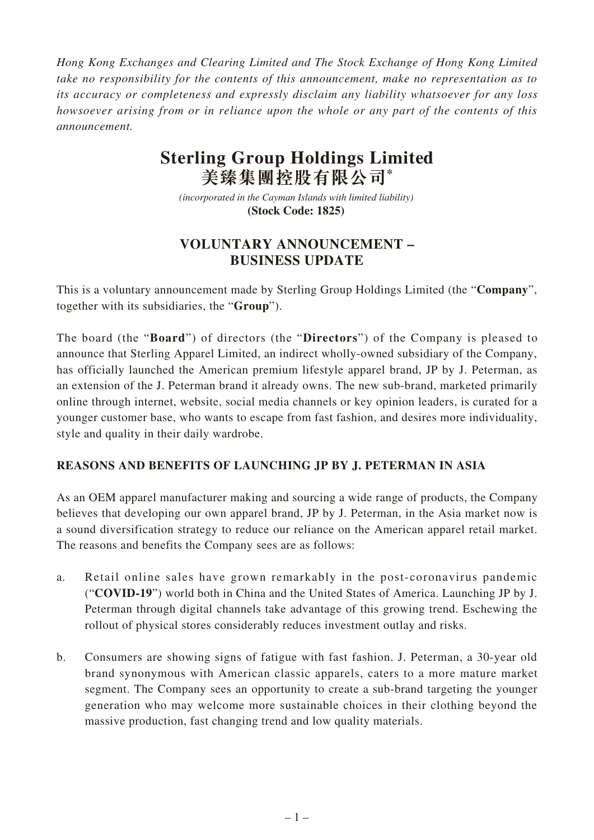*Hong Kong Exchanges and Clearing Limited and The Stock Exchange of Hong Kong Limited take no responsibility for the contents of this announcement, make no representation as to its accuracy or completeness and expressly disclaim any liability whatsoever for any loss howsoever arising from or in reliance upon the whole or any part of the contents of this announcement.*

# **Sterling Group Holdings Limited 美臻集團控股有限公司\***

*(incorporated in the Cayman Islands with limited liability)*  **(Stock Code: 1825)** 

## **VOLUNTARY ANNOUNCEMENT – BUSINESS UPDATE**

This is a voluntary announcement made by Sterling Group Holdings Limited (the "**Company**", together with its subsidiaries, the "**Group**").

The board (the "**Board**") of directors (the "**Directors**") of the Company is pleased to announce that Sterling Apparel Limited, an indirect wholly-owned subsidiary of the Company, has officially launched the American premium lifestyle apparel brand, JP by J. Peterman, as an extension of the J. Peterman brand it already owns. The new sub-brand, marketed primarily online through internet, website, social media channels or key opinion leaders, is curated for a younger customer base, who wants to escape from fast fashion, and desires more individuality, style and quality in their daily wardrobe.

#### **REASONS AND BENEFITS OF LAUNCHING JP BY J. PETERMAN IN ASIA**

As an OEM apparel manufacturer making and sourcing a wide range of products, the Company believes that developing our own apparel brand, JP by J. Peterman, in the Asia market now is a sound diversification strategy to reduce our reliance on the American apparel retail market. The reasons and benefits the Company sees are as follows:

- a. Retail online sales have grown remarkably in the post-coronavirus pandemic ("**COVID-19**") world both in China and the United States of America. Launching JP by J. Peterman through digital channels take advantage of this growing trend. Eschewing the rollout of physical stores considerably reduces investment outlay and risks.
- b. Consumers are showing signs of fatigue with fast fashion. J. Peterman, a 30-year old brand synonymous with American classic apparels, caters to a more mature market segment. The Company sees an opportunity to create a sub-brand targeting the younger generation who may welcome more sustainable choices in their clothing beyond the massive production, fast changing trend and low quality materials.